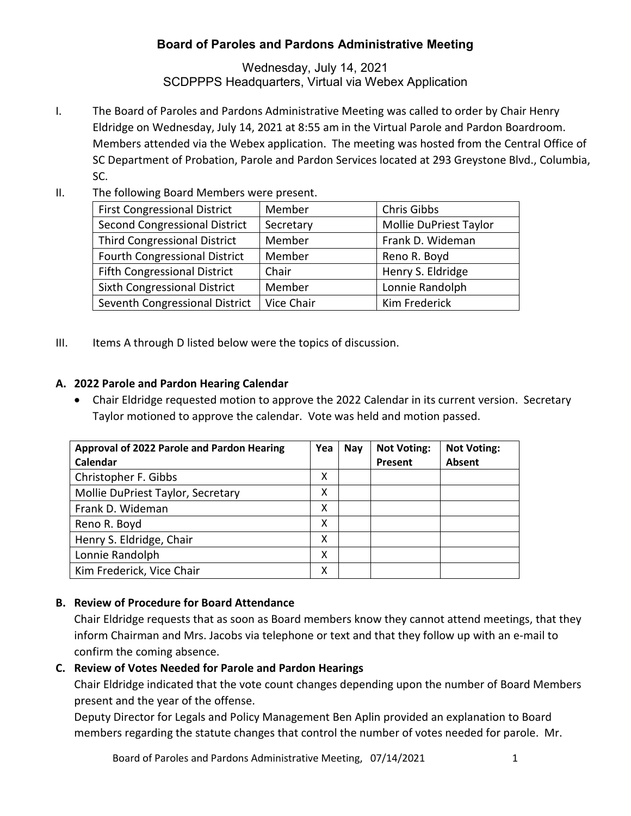# **Board of Paroles and Pardons Administrative Meeting**

Wednesday, July 14, 2021 SCDPPPS Headquarters, Virtual via Webex Application

- I. The Board of Paroles and Pardons Administrative Meeting was called to order by Chair Henry Eldridge on Wednesday, July 14, 2021 at 8:55 am in the Virtual Parole and Pardon Boardroom. Members attended via the Webex application. The meeting was hosted from the Central Office of SC Department of Probation, Parole and Pardon Services located at 293 Greystone Blvd., Columbia, SC.
- II. The following Board Members were present.

| <b>First Congressional District</b>  | Member     | Chris Gibbs            |  |  |
|--------------------------------------|------------|------------------------|--|--|
| Second Congressional District        | Secretary  | Mollie DuPriest Taylor |  |  |
| <b>Third Congressional District</b>  | Member     | Frank D. Wideman       |  |  |
| <b>Fourth Congressional District</b> | Member     | Reno R. Boyd           |  |  |
| <b>Fifth Congressional District</b>  | Chair      | Henry S. Eldridge      |  |  |
| <b>Sixth Congressional District</b>  | Member     | Lonnie Randolph        |  |  |
| Seventh Congressional District       | Vice Chair | Kim Frederick          |  |  |

III. Items A through D listed below were the topics of discussion.

#### **A. 2022 Parole and Pardon Hearing Calendar**

• Chair Eldridge requested motion to approve the 2022 Calendar in its current version. Secretary Taylor motioned to approve the calendar. Vote was held and motion passed.

| Approval of 2022 Parole and Pardon Hearing | Yea | Nay | <b>Not Voting:</b> | <b>Not Voting:</b> |
|--------------------------------------------|-----|-----|--------------------|--------------------|
| Calendar                                   |     |     | Present            | <b>Absent</b>      |
| Christopher F. Gibbs                       | x   |     |                    |                    |
| Mollie DuPriest Taylor, Secretary          | Χ   |     |                    |                    |
| Frank D. Wideman                           | x   |     |                    |                    |
| Reno R. Boyd                               | x   |     |                    |                    |
| Henry S. Eldridge, Chair                   | x   |     |                    |                    |
| Lonnie Randolph                            | χ   |     |                    |                    |
| Kim Frederick, Vice Chair                  | х   |     |                    |                    |

## **B. Review of Procedure for Board Attendance**

Chair Eldridge requests that as soon as Board members know they cannot attend meetings, that they inform Chairman and Mrs. Jacobs via telephone or text and that they follow up with an e-mail to confirm the coming absence.

## **C. Review of Votes Needed for Parole and Pardon Hearings**

Chair Eldridge indicated that the vote count changes depending upon the number of Board Members present and the year of the offense.

Deputy Director for Legals and Policy Management Ben Aplin provided an explanation to Board members regarding the statute changes that control the number of votes needed for parole. Mr.

Board of Paroles and Pardons Administrative Meeting, 07/14/2021 1